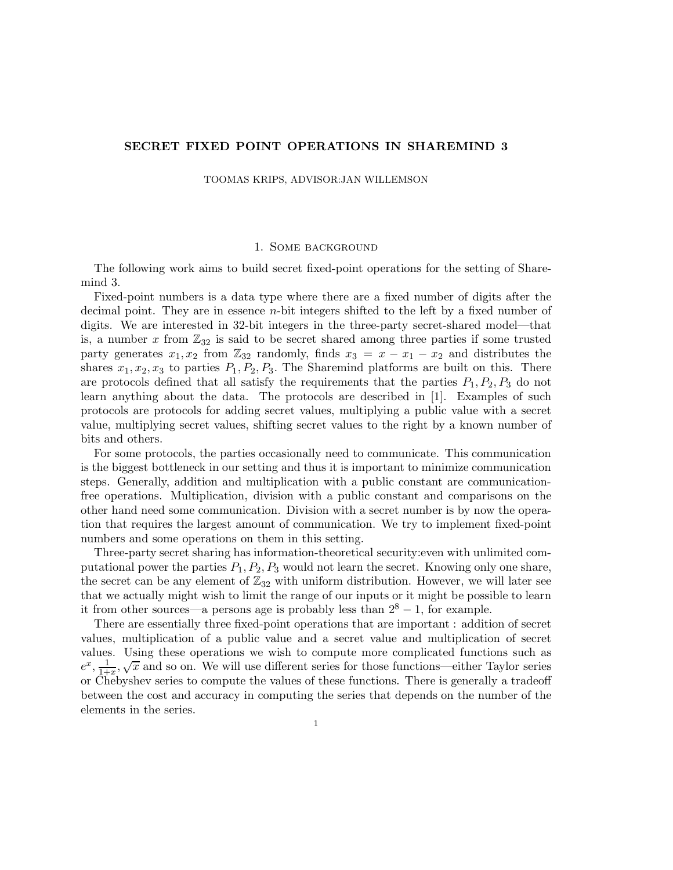## SECRET FIXED POINT OPERATIONS IN SHAREMIND 3

TOOMAS KRIPS, ADVISOR:JAN WILLEMSON

## 1. Some background

The following work aims to build secret fixed-point operations for the setting of Sharemind 3.

Fixed-point numbers is a data type where there are a fixed number of digits after the decimal point. They are in essence n-bit integers shifted to the left by a fixed number of digits. We are interested in 32-bit integers in the three-party secret-shared model—that is, a number x from  $\mathbb{Z}_{32}$  is said to be secret shared among three parties if some trusted party generates  $x_1, x_2$  from  $\mathbb{Z}_{32}$  randomly, finds  $x_3 = x - x_1 - x_2$  and distributes the shares  $x_1, x_2, x_3$  to parties  $P_1, P_2, P_3$ . The Sharemind platforms are built on this. There are protocols defined that all satisfy the requirements that the parties  $P_1, P_2, P_3$  do not learn anything about the data. The protocols are described in [1]. Examples of such protocols are protocols for adding secret values, multiplying a public value with a secret value, multiplying secret values, shifting secret values to the right by a known number of bits and others.

For some protocols, the parties occasionally need to communicate. This communication is the biggest bottleneck in our setting and thus it is important to minimize communication steps. Generally, addition and multiplication with a public constant are communicationfree operations. Multiplication, division with a public constant and comparisons on the other hand need some communication. Division with a secret number is by now the operation that requires the largest amount of communication. We try to implement fixed-point numbers and some operations on them in this setting.

Three-party secret sharing has information-theoretical security:even with unlimited computational power the parties  $P_1, P_2, P_3$  would not learn the secret. Knowing only one share, the secret can be any element of  $\mathbb{Z}_{32}$  with uniform distribution. However, we will later see that we actually might wish to limit the range of our inputs or it might be possible to learn it from other sources—a persons age is probably less than  $2^8 - 1$ , for example.

There are essentially three fixed-point operations that are important : addition of secret values, multiplication of a public value and a secret value and multiplication of secret values. Using these operations we wish to compute more complicated functions such as  $e^x$ ,  $\frac{1}{1+x}$ ,  $\sqrt{x}$  and so on. We will use different series for those functions—either Taylor series or Chebyshev series to compute the values of these functions. There is generally a tradeoff between the cost and accuracy in computing the series that depends on the number of the elements in the series.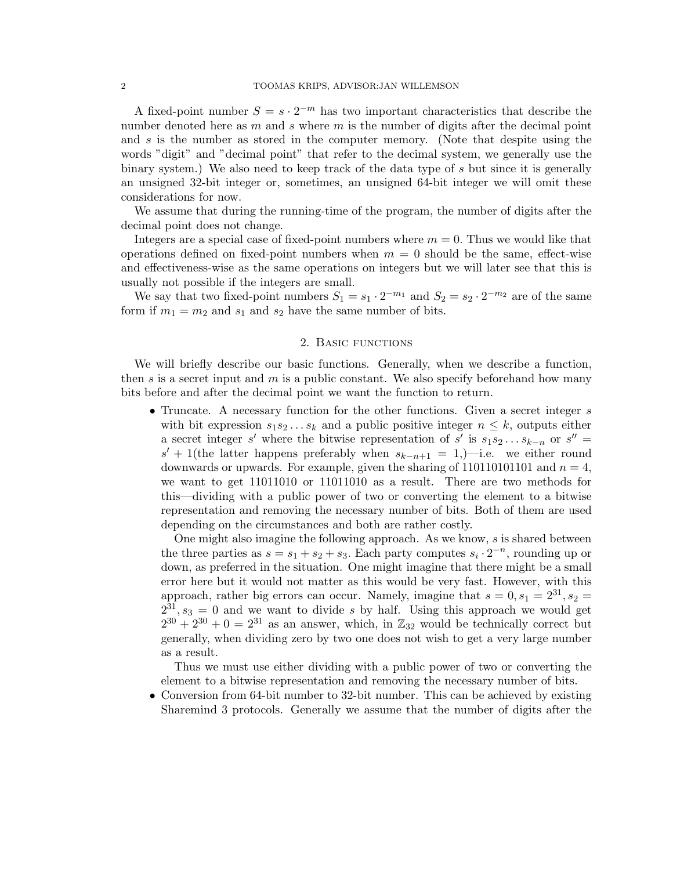## 2 TOOMAS KRIPS, ADVISOR:JAN WILLEMSON

A fixed-point number  $S = s \cdot 2^{-m}$  has two important characteristics that describe the number denoted here as m and s where m is the number of digits after the decimal point and  $s$  is the number as stored in the computer memory. (Note that despite using the words "digit" and "decimal point" that refer to the decimal system, we generally use the binary system.) We also need to keep track of the data type of s but since it is generally an unsigned 32-bit integer or, sometimes, an unsigned 64-bit integer we will omit these considerations for now.

We assume that during the running-time of the program, the number of digits after the decimal point does not change.

Integers are a special case of fixed-point numbers where  $m = 0$ . Thus we would like that operations defined on fixed-point numbers when  $m = 0$  should be the same, effect-wise and effectiveness-wise as the same operations on integers but we will later see that this is usually not possible if the integers are small.

We say that two fixed-point numbers  $S_1 = s_1 \cdot 2^{-m_1}$  and  $S_2 = s_2 \cdot 2^{-m_2}$  are of the same form if  $m_1 = m_2$  and  $s_1$  and  $s_2$  have the same number of bits.

# 2. Basic functions

We will briefly describe our basic functions. Generally, when we describe a function, then s is a secret input and m is a public constant. We also specify beforehand how many bits before and after the decimal point we want the function to return.

• Truncate. A necessary function for the other functions. Given a secret integer s with bit expression  $s_1s_2...s_k$  and a public positive integer  $n \leq k$ , outputs either a secret integer s' where the bitwise representation of s' is  $s_1 s_2 \ldots s_{k-n}$  or  $s'' =$  $s' + 1$ (the latter happens preferably when  $s_{k-n+1} = 1,$ )—i.e. we either round downwards or upwards. For example, given the sharing of  $1101101101$  and  $n = 4$ , we want to get 11011010 or 11011010 as a result. There are two methods for this—dividing with a public power of two or converting the element to a bitwise representation and removing the necessary number of bits. Both of them are used depending on the circumstances and both are rather costly.

One might also imagine the following approach. As we know,  $s$  is shared between the three parties as  $s = s_1 + s_2 + s_3$ . Each party computes  $s_i \cdot 2^{-n}$ , rounding up or down, as preferred in the situation. One might imagine that there might be a small error here but it would not matter as this would be very fast. However, with this approach, rather big errors can occur. Namely, imagine that  $s = 0, s_1 = 2^{31}, s_2 =$  $2^{31}, s_3 = 0$  and we want to divide s by half. Using this approach we would get  $2^{30} + 2^{30} + 0 = 2^{31}$  as an answer, which, in  $\mathbb{Z}_{32}$  would be technically correct but generally, when dividing zero by two one does not wish to get a very large number as a result.

Thus we must use either dividing with a public power of two or converting the element to a bitwise representation and removing the necessary number of bits.

• Conversion from 64-bit number to 32-bit number. This can be achieved by existing Sharemind 3 protocols. Generally we assume that the number of digits after the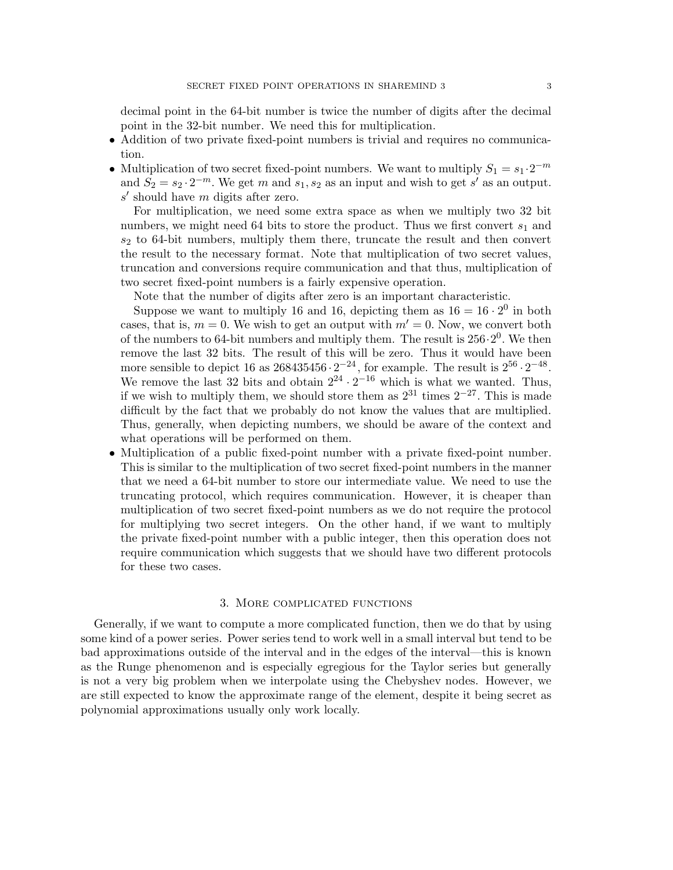decimal point in the 64-bit number is twice the number of digits after the decimal point in the 32-bit number. We need this for multiplication.

- Addition of two private fixed-point numbers is trivial and requires no communication.
- Multiplication of two secret fixed-point numbers. We want to multiply  $S_1 = s_1 \cdot 2^{-m}$ and  $S_2 = s_2 \cdot 2^{-m}$ . We get m and  $s_1, s_2$  as an input and wish to get s' as an output.  $s'$  should have m digits after zero.

For multiplication, we need some extra space as when we multiply two 32 bit numbers, we might need 64 bits to store the product. Thus we first convert  $s_1$  and  $s_2$  to 64-bit numbers, multiply them there, truncate the result and then convert the result to the necessary format. Note that multiplication of two secret values, truncation and conversions require communication and that thus, multiplication of two secret fixed-point numbers is a fairly expensive operation.

Note that the number of digits after zero is an important characteristic.

Suppose we want to multiply 16 and 16, depicting them as  $16 = 16 \cdot 2^0$  in both cases, that is,  $m = 0$ . We wish to get an output with  $m' = 0$ . Now, we convert both of the numbers to 64-bit numbers and multiply them. The result is  $256 \cdot 2^0$ . We then remove the last 32 bits. The result of this will be zero. Thus it would have been more sensible to depict 16 as  $268435456 \cdot 2^{-24}$ , for example. The result is  $2^{56} \cdot 2^{-48}$ . We remove the last 32 bits and obtain  $2^{24} \cdot 2^{-16}$  which is what we wanted. Thus, if we wish to multiply them, we should store them as  $2^{31}$  times  $2^{-27}$ . This is made difficult by the fact that we probably do not know the values that are multiplied. Thus, generally, when depicting numbers, we should be aware of the context and what operations will be performed on them.

• Multiplication of a public fixed-point number with a private fixed-point number. This is similar to the multiplication of two secret fixed-point numbers in the manner that we need a 64-bit number to store our intermediate value. We need to use the truncating protocol, which requires communication. However, it is cheaper than multiplication of two secret fixed-point numbers as we do not require the protocol for multiplying two secret integers. On the other hand, if we want to multiply the private fixed-point number with a public integer, then this operation does not require communication which suggests that we should have two different protocols for these two cases.

### 3. More complicated functions

Generally, if we want to compute a more complicated function, then we do that by using some kind of a power series. Power series tend to work well in a small interval but tend to be bad approximations outside of the interval and in the edges of the interval—this is known as the Runge phenomenon and is especially egregious for the Taylor series but generally is not a very big problem when we interpolate using the Chebyshev nodes. However, we are still expected to know the approximate range of the element, despite it being secret as polynomial approximations usually only work locally.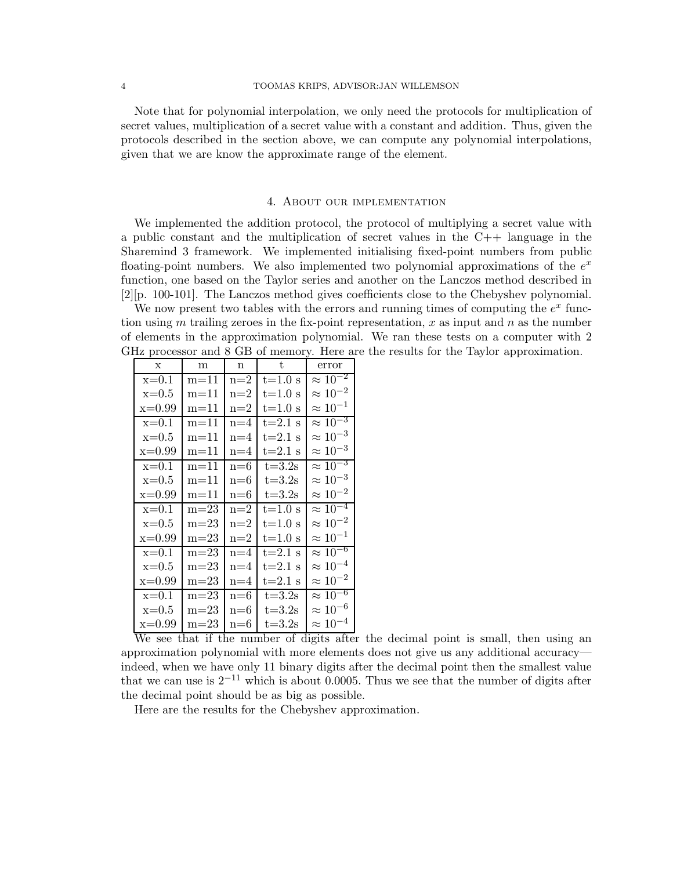Note that for polynomial interpolation, we only need the protocols for multiplication of secret values, multiplication of a secret value with a constant and addition. Thus, given the protocols described in the section above, we can compute any polynomial interpolations, given that we are know the approximate range of the element.

#### 4. About our implementation

We implemented the addition protocol, the protocol of multiplying a secret value with a public constant and the multiplication of secret values in the C++ language in the Sharemind 3 framework. We implemented initialising fixed-point numbers from public floating-point numbers. We also implemented two polynomial approximations of the  $e^x$ function, one based on the Taylor series and another on the Lanczos method described in [2][p. 100-101]. The Lanczos method gives coefficients close to the Chebyshev polynomial.

We now present two tables with the errors and running times of computing the  $e^x$  function using m trailing zeroes in the fix-point representation, x as input and n as the number of elements in the approximation polynomial. We ran these tests on a computer with 2 GHz processor and 8 GB of memory. Here are the results for the Taylor approximation.

| $\mathbf x$ | m        | n       | t.         | error             |
|-------------|----------|---------|------------|-------------------|
| $x=0.1$     | $m = 11$ | $n=2$   | $t=1.0 s$  | $\approx 10^{-2}$ |
| $x=0.5$     | $m=11$   | $n=2$   | $t=1.0 s$  | $\approx 10^{-2}$ |
| $x=0.99$    | $m = 11$ | $n=2$   | $t=1.0 s$  | $\approx 10^{-1}$ |
| $x=0.1$     | $m = 11$ | $n = 4$ | $t=2.1$ s  | $\approx 10^{-3}$ |
| $x=0.5$     | $m = 11$ | $n = 4$ | $t=2.1$ s  | $\approx 10^{-3}$ |
| $x=0.99$    | $m = 11$ | $n=4$   | $t=2.1$ s  | $\approx 10^{-3}$ |
| $x=0.1$     | $m = 11$ | $n = 6$ | $t = 3.2s$ | $\approx 10^{-3}$ |
| $x=0.5$     | $m = 11$ | n=6     | $t = 3.2s$ | $\approx 10^{-3}$ |
| $x=0.99$    | $m = 11$ | $n=6$   | $t = 3.2s$ | $\approx 10^{-2}$ |
| $x=0.1$     | $m = 23$ | $n=2$   | $t=1.0 s$  | $\approx 10^{-4}$ |
| $x=0.5$     | $m=23$   | $n=2$   | $t=1.0 s$  | $\approx 10^{-2}$ |
| $x=0.99$    | $m = 23$ | $n=2$   | $t=1.0 s$  | $\approx 10^{-1}$ |
| $x=0.1$     | $m = 23$ | $n=4$   | $t=2.1$ s  | $\approx 10^{-6}$ |
| $x=0.5$     | $m=23$   | $n=4$   | $t=2.1$ s  | $\approx 10^{-4}$ |
| $x=0.99$    | $m = 23$ | $n=4$   | $t=2.1$ s  | $\approx 10^{-2}$ |
| $x=0.1$     | $m = 23$ | $n = 6$ | $t = 3.2s$ | $\approx 10^{-6}$ |
| $x=0.5$     | $m=23$   | $n=6$   | $t = 3.2s$ | $\approx 10^{-6}$ |
| $x=0.99$    | $m=23$   | $n=6$   | $t = 3.2s$ | $\approx 10^{-4}$ |

We see that if the number of digits after the decimal point is small, then using an approximation polynomial with more elements does not give us any additional accuracy indeed, when we have only 11 binary digits after the decimal point then the smallest value that we can use is  $2^{-11}$  which is about 0.0005. Thus we see that the number of digits after the decimal point should be as big as possible.

Here are the results for the Chebyshev approximation.